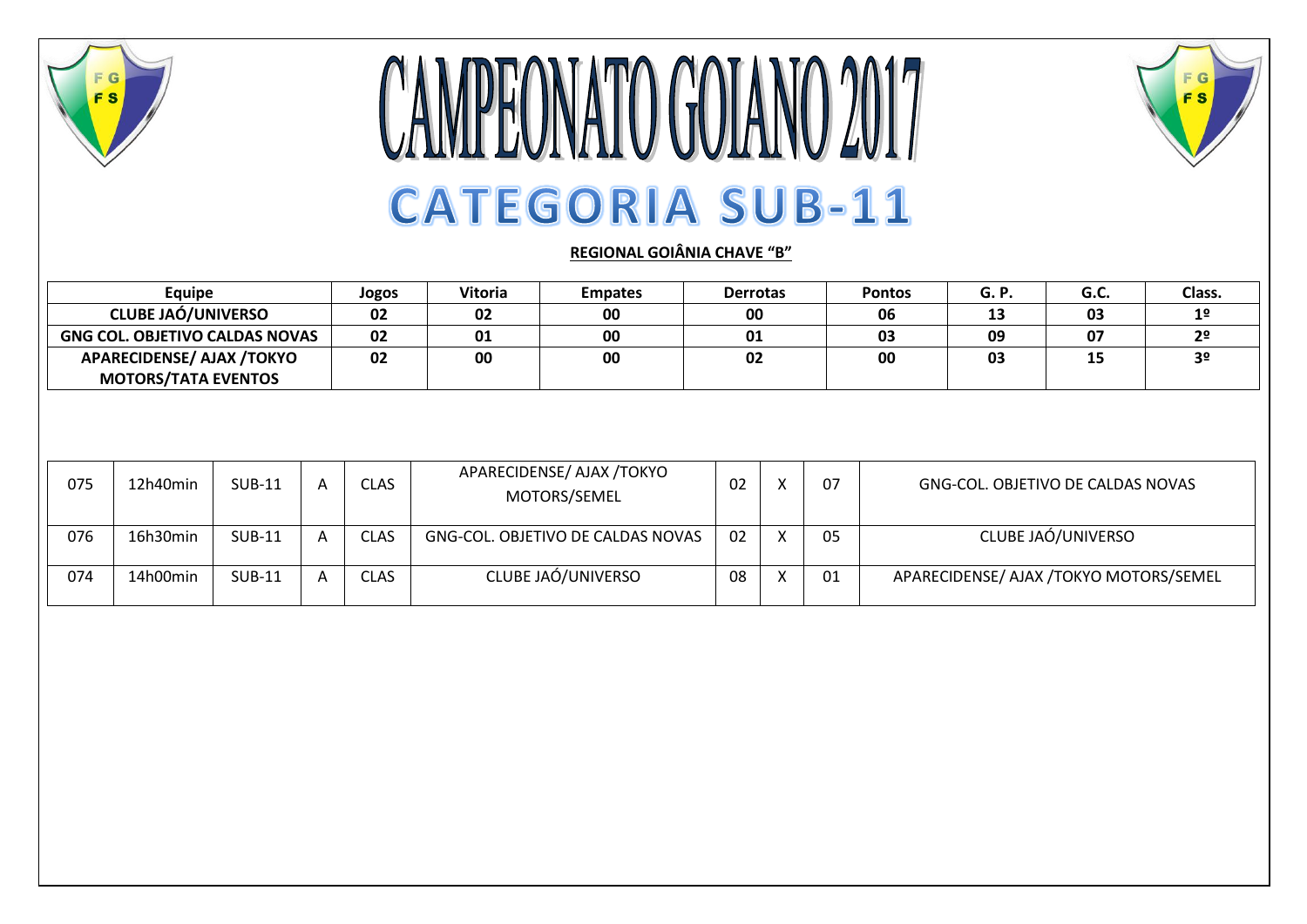

## **CAMPEONATO GOIANO 2017 CATEGORIA SUB-11**



**REGIONAL GOIÂNIA CHAVE "B"**

| Equipe                                | Jogos | <b>Vitoria</b> | <b>Empates</b> | <b>Derrotas</b> | <b>Pontos</b> | <b>G.P.</b> | G.C. | Class.         |
|---------------------------------------|-------|----------------|----------------|-----------------|---------------|-------------|------|----------------|
| <b>CLUBE JAÓ/UNIVERSO</b>             | 02    | 02             | 00             | 00              | 06            | 13          | 03   | 12             |
| <b>GNG COL. OBJETIVO CALDAS NOVAS</b> | 02    | 01             | 00             | 01              | 03            | 09          | 07   | 2 <sup>0</sup> |
| <b>APARECIDENSE/ AJAX /TOKYO</b>      | 02    | 00             | 00             | 02              | 00            | 03          | 15   | 20             |
| <b>MOTORS/TATA EVENTOS</b>            |       |                |                |                 |               |             |      |                |

| 075 | 12h40min | <b>SUB-11</b> | <b>CLAS</b> | APARECIDENSE/ AJAX /TOKYO<br>MOTORS/SEMEL | 02 | 07 | GNG-COL. OBJETIVO DE CALDAS NOVAS      |
|-----|----------|---------------|-------------|-------------------------------------------|----|----|----------------------------------------|
| 076 | 16h30min | <b>SUB-11</b> | <b>CLAS</b> | GNG-COL. OBJETIVO DE CALDAS NOVAS         | 02 | 05 | CLUBE JAÓ/UNIVERSO                     |
| 074 | 14h00min | <b>SUB-11</b> | <b>CLAS</b> | CLUBE JAÓ/UNIVERSO                        | 08 | 01 | APARECIDENSE/ AJAX /TOKYO MOTORS/SEMEL |